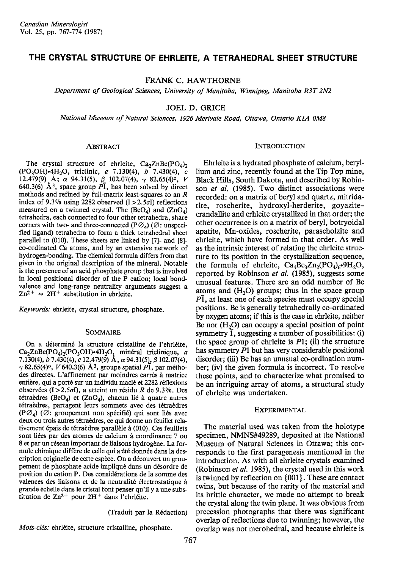# THE CRYSTAL STRUCTURE OF EHRLEITE, A TETRAHEDRAL SHEET STRUCTURE

FRANK C. HAWTHORNE

Department of Geological Sciences, University of Manitoba, Winnipeg, Manitoba R3T 2N2

JOEL D. GRICE

National Museum of Natural Sciences, 1926 Merivale Road, Ottawa, Ontario K1A 0M8

#### ABSTRACT

The crystal structure of ehrleite,  $Ca_2ZnBe(PO_4)_2$ (PO<sub>3</sub>OH).4H<sub>2</sub>O, triclinic, a 7.130(4), b 7.430(4), c 12.479(9) Å;  $\alpha$  94.31(5),  $\beta$  102.07(4),  $\gamma$  82.65(4)<sup>o</sup>, *V* 640.3(6)  $\AA$ <sup>3</sup>, space group  $P\overline{1}$ , has been solved by direct methods and refined by full-matrix least-squares to an R index of 9.3% using 2282 observed  $(I>2.5\sigma I)$  reflections measured on a twinned crystal. The  $(BeO<sub>4</sub>)$  and  $(ZnO<sub>4</sub>)$ tetrahedra, each connected to four other tetrahedra, share corners with two- and three-connected (P $\varnothing$ <sub>A</sub>) ( $\varnothing$ : unspecified ligand) tetrahedra to form a thick tetrahedral sheet parallel to (010). These sheets are linked by [7]- and [8] co-ordinated Ca atoms, and by an extensive network of hydrogen-bonding. The chemical formula differs from that given in the original description of the mineral. Notable is the presence of an acid phosphate group that is involved in local positional disorder of the P cation; local bondvalence and long-range neutrality arguments suggest a  $Zn^{2+} \approx 2H^{+}$  substitution in ehrleite.

Keywords: ehrleite, crystal structure, phosphate.

#### SOMMAIRE

On a déterminé la structure cristalline de l'ehrléite, Ca<sub>2</sub>ZnBe(PO<sub>4</sub>)<sub>2</sub>(PO<sub>3</sub>OH)•4H<sub>2</sub>O<sub>1</sub> minéral triclinique, *a*<br>7.130(4), *b* 7.430(4), *c* 12<sub>2</sub>479(9) A,  $\alpha$  94.31(5), *β* 102.07(4),  $\gamma$  82.65(4)<sup>o</sup>, *V* 640.3(6) Å<sup>3</sup>, groupe spatial  $P\overline{1}$ , par méthodes directes. L'affinement par moindres carrés à matrice entière, qui a porté sur un individu maclé et 2282 réflexions observées (I>2.5 $\sigma$ I), a atteint un résidu R de 9.3%. Des tétraèdres (BeO<sub>4</sub>) et (ZnO<sub>4</sub>), chacun lié à quatre autres tétraèdres, partagent leurs sommets avec des tétraèdres  $(PO<sub>4</sub>)$  ( $\varnothing$ : groupement non spécifié) qui sont liés avec deux ou trois autres tétraèdres, ce qui donne un feuillet relativement épais de tétraèdres parallèle à (010). Ces feuillets sont liées par des atomes de calcium à coordinance 7 ou 8 et par un réseau important de liaisons hydrogène. La formule chimique diffère de celle qui a été donnée dans la description originelle de cette espèce. On a découvert un groupement de phosphate acide impliqué dans un désordre de position du cation P. Des considérations de la somme des valences des liaisons et de la neutralité électrostatique à grande 6che11e dans le cristal font penser qu'il y a une substitution de Zn<sup>2+</sup> pour 2H<sup>+</sup> dans l'ehrléite.

(Traduit par la R6daction)

Mots-clés: ehrléite, structure cristalline, phosphate.

#### **INTRODUCTION**

Ehrleite is a hydrated phosphate of calcium, beryllium and zinc, recently found at the Tip Top mine, Black Hills, South Dakota, and described by Robinson et al. (1985). Two distinct associations were recorded: on a matrix of beryl and quartz, mitridatite, roscherite, hydroxyl-herderite, goyazitecrandallite and erhleite crystallized in that order; the other occurrence is on a matrix of beryl, botryoidal apatite, Mn-oxides, roscherite, parascholzite and ehrleite, which have formed in that order. As well as the intrinsic interest of relating the ehrleite structure to its position in the crystallization sequence, the formula of ehrleite,  $Ca<sub>4</sub>Be<sub>3</sub>Zn<sub>2</sub>(PO<sub>4</sub>)<sub>6</sub>·9H<sub>2</sub>O$ , reported by Robinson et al. (1985), suggests some unusual features. There are an odd number of Be atoms and  $(H<sub>2</sub>O)$  groups; thus in the space group  $P\bar{1}$ , at least one of each species must occupy special positions. Be is generally tetrahedrally co-ordinated by oxygen atoms; if this is the case in ehrleite, neither Be nor  $(H<sub>2</sub>O)$  can occupy a special position of point symmetry  $\overline{1}$ , suggesting a number of possibilities: (i) the space group of ehrleite is  $P1$ ; (ii) the structure has symmetry Pl but has very considerable positional disorder; (iii) Be has an unusual co-ordination number; (iv) the given formula is incorrect. To resolve these points, and to characterize what promised to be an intriguing array of atoms, a structural study of ehrleite was undertaken.

### EXPERIMENTAL

The marerial used was taken from the holotype specimen, NMNS#49289, deposited at the National Museum of Natural Sciences in Ottawa; this corresponds to the first paragenesis mentioned in the introduction. As with all ehrleite crystals examined (Robinson et al. 1985), the crystal used in this work is twinned by reflection on {001}. These are contact twins, but because of the rarity of the material and its brittle character, we made no attempt to break the crystal along the twin plane. It was obvious from precession photographs that there was significant overlap of reflections due to twinning; however, the overlap was not merohedral, and because ehrleite is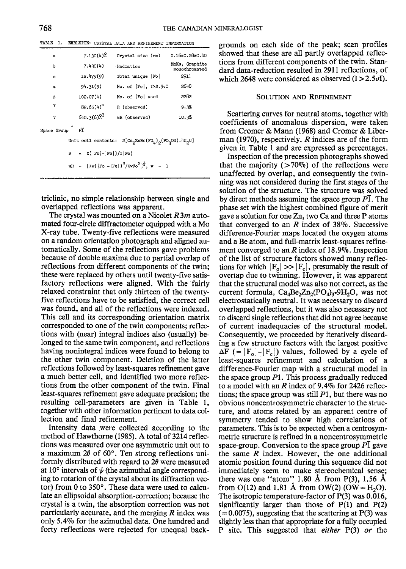| TABLE 1. |  |  |  |  |  |  | EHRLEITE: CRYSTAL DATA AND REFINEMENT INFORMATION |  |
|----------|--|--|--|--|--|--|---------------------------------------------------|--|
|----------|--|--|--|--|--|--|---------------------------------------------------|--|

| a           | 7.130(4)           |                     | Crystal size (mm)                                                                                              | 0.16x0.28x0.40                  |  |  |  |  |  |
|-------------|--------------------|---------------------|----------------------------------------------------------------------------------------------------------------|---------------------------------|--|--|--|--|--|
| Ъ           |                    | 7.430(4)            | Radiation                                                                                                      | MoKa, Graphite<br>monochromated |  |  |  |  |  |
| ¢           |                    | 12.479(9)           | Total unique   Fo!                                                                                             | 2911                            |  |  |  |  |  |
| $\alpha$    | 94.31(5)           |                     | No. of [Fo], I>2.50I                                                                                           | 2648                            |  |  |  |  |  |
| ß           | 102.07(4)          |                     | No. of Fol used                                                                                                | 2282                            |  |  |  |  |  |
| ۲           | $82.65(4)^{\circ}$ |                     | R (observed)                                                                                                   | 9.3%                            |  |  |  |  |  |
| v           |                    | $640.3(6)$ $8^3$    | wR (observed)                                                                                                  | 10.3%                           |  |  |  |  |  |
| Space Group |                    | ΡĨ                  |                                                                                                                |                                 |  |  |  |  |  |
|             |                    | Unit cell contents: | $2[\text{Ca}_2\text{ZnBe}(\text{PO}_h)_{\mathcal{D}}(\text{PO}_3\text{OH})$ .4H <sub>2</sub> O]                |                                 |  |  |  |  |  |
|             | R                  |                     | $= 2( F_O - F_C )/2 F_O $                                                                                      |                                 |  |  |  |  |  |
|             |                    |                     | $\text{wR} = [ \text{zw} (\text{Fol} - \text{Fe}])^2 / \text{zw} \text{Fo}^2 ]^{\frac{1}{2}}$ , $\text{w} = 1$ |                                 |  |  |  |  |  |
|             |                    |                     |                                                                                                                |                                 |  |  |  |  |  |

triclinic, no simple relationship between single and overlapped reflections was apparent.

The crystal was mounted on a Nicolet  $R3m$  automated four-circle diffractometer equipped with a Mo X-ray tube. Twenty-five reflections were measured on a random orientation photograph and aligned automatically. Some of the reflections gave problems because of double maxima due to partial overlap of reflections from different components of the twin; these were replaced by others until twenty-five satisfactory reflections were aligned. With the fairly relaxed constraint that only thirteen of the twentyfive reflections have to be satisfied, the correct cell was found, and all of the reflections were indexed. This cell and its corresponding orientation matrix corresponded to one of the twin components; reflections with (near) integral indices also (usually) belonged to the same twin component, and reflections having nonintegral indices were found to belong to the other twin component. Deletion of the latter reflections followed by least-squares refinement gave a much better cell, and identified two more reflections from the other component of the twin. Final least-squares refinement gave adequate precision; the resulting cell-parameters are given in Table 1, together with other information pertinent to data collection and final refinement.

Intensity data were collected according to the method of Hawthorne (1985). A total of 3214 reflections was measured over one asymmetric unit out to a maximum  $2\theta$  of 60 $^{\circ}$ . Ten strong reflections uniformly distributed with regard to  $2\theta$  were measured at 10 $\degree$  intervals of  $\psi$  (the azimuthal angle corresponding to rotation of the crystal about its diffraction vector) from 0 to  $350^\circ$ . These data were used to calculate an ellipsoidal absorption-correction; because the crystal is a twin, the absorption correction was not particularly accurate, and the merging  $R$  index was only 5.490 for the azimuthal data. One hundred and forty reflections were rejected for unequal backgrounds on each side of the peak; scan profiles showed that these are all partly overlapped reflections from different components of the twin. Standard data-reduction resulted in29ll reflections, of which 2648 were considered as observed  $(I > 2.5\sigma I)$ .

### SOLUTIoN AND REFINEMENT

Scattering curves for neutral atoms, together with coefficients of anomalous dispersion, were taken from Cromer & Mann (1968) and Cromer & Liberman (1970), respectively. R indices are of the form given in Table I and are expressed as percentages.

Inspection of the precession photographs showed that the majority  $(>70\%)$  of the reflections were unaffected by overlap, and consequently the twinning was not considered during the first stages of the solution of the structure. The structure was solved by direct methods assuming the space group  $\overline{PI}$ . The phase set with the highest combined figure of merit gave a solution for one Zn, two Ca and three P atoms that converged to an  $R$  index of 38%. Successive difference-Fourier maps located the oxygen atoms and a Be atom, and full-matrix least-squares refinement converged to an  $R$  index of 18.9%. Inspection of the list of structure factors showed many reflections for which  $|F_{o}| \gg |F_{c}|$ , presumably the result of overlap due to twinning. However, it was apparent that the structural model was also not correct, as the current formula,  $Ca_4Be_2Zn_2(PO_4)_3.9H_2O$ , was not electrostatically neutral. It was necessary to discard overlapped reflections, but it was also necessary not to discard single reflections that did not agree because of current inadequacies of the structural model. Consequently, we proceeded by iteratively discarding a few structure factors with the largest positive  $\Delta F$  (=  $|F_{o}|-|F_{c}|$ ) values, followed by a cycle of least-squares refinement and calculation of a difference-Fourier map with a structural model in the space group  $P1$ . This process gradually reduced to a model with an R index of 9.4% for 2426 reflections; the space group was still  $P1$ , but there was no obvious noncentrosymmetric character to the structure, and atoms related by an apparent centre of symmetry tended to show high correlations of parameters. This is to be expected when a centrosymmetric structure is refined in a noncentrosymmetric space-group. Conversion to the space group  $P\bar{I}$  gave the same  $R$  index. However, the one additional atomic position found during this sequence did not immediately seem to make stereochemical sense; there was one "atom" 1.80 Å from P(3), 1.56 Å from  $O(12)$  and 1.81 Å from  $OW(2)$  ( $OW = H<sub>2</sub>O$ ). The isotropic temperature-factor of P(3) was 0.016, significantly larger than those of P(l) and P(2)  $(=0.0075)$ , suggesting that the scattering at P(3) was slightly less than that appropriate for a fully occupied P site. This suggested that either P(3) or the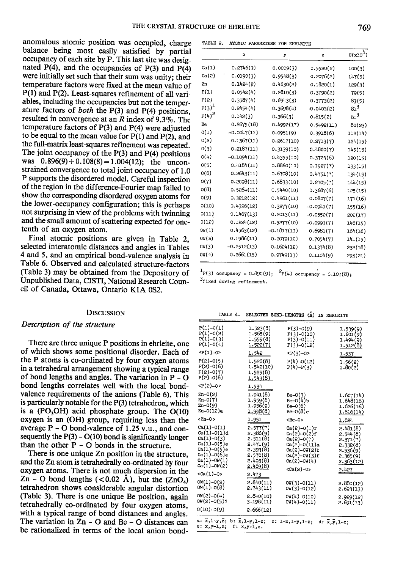anomalous atomic position was occupied, charge balance being most easily satisfied by partial occupancy of each site by P. This last site was designated  $P(4)$ , and the occupancies of  $P(3)$  and  $P(4)$ were initially set such that their sum was unity; their temperature factors were fixed at the mean value of P(l) and P(2). Least-squares refinement of all variables, including the occupancies but not the temperature factors of *both* the  $P(3)$  and  $P(4)$  positions, resulted in convergence at an  $R$  index of 9.3%. The temperature factors of P(3) and P(4) were adjusted to be equal to the mean value for  $P(1)$  and  $P(2)$ , and the full-matrix least-squares refinement was repeated. The joint occupancy of the  $P(3)$  and  $P(4)$  positions was  $0.896(9) + 0.108(8) = 1.004(12)$ ; the unconstrained convergence to total joint occupancy of 1.0 P supports the disordered model. Careful inspection of the region in the difference-Fourier map failed to show the corresponding disordered oxygen atoms for the lower-occupancy configuration; this is perhaps not surprising in view of the problems with twinning and the small amount of scattering expected for onetenth of an oxygen atom.

Final atomic positions are given in Table 2, selected interatomic distances and angles in Tables 4 and 5, and an empirical bond-valence analysis in Table 6. Observed and calculated structure-factors (Table 3) may be obtained from the Depository of Unpublished Data, CISTI, National Research Council of Canada, Ottawa, Ontario KIA 0S2.

#### **DISCUSSION**

### Description of the structure

There are three unique P positions in ehrleite, one of which shows some positional disorder. Each of the  $P$  atoms is co-ordinated by four oxygen atoms in a tetrahedral arrangement showing a typical range of bond lengths and angles. The variation in  $P - Q$ bond lengths correlates well with the local bondvalence requirements of the anions (Table 6). This is particularly notable for the P(3) tetrahedron, which is a  $(PO<sub>3</sub>OH)$  acid phosphate group. The  $O(10)$ oxygen is an (OH) group, requiring less than the average  $P - O$  bond-valence of 1.25 v.u., and consequently the  $P(3) - O(10)$  bond is significantly longer than the other  $P - O$  bonds in the structure.

There is one unique Zn position in the structure, and the Zn atom is tetrahedrally co-ordinated by four oxygen atoms. There is not much dispersion in the Zn – O bond lengths (<0.02 Å), but the  $(ZnO_4)$ tetrahedron shows considerable angular distortion (Table 3). There is one unique Be position, again tetrahedrally co-ordinated by four oxygen atoms, with a typical range of bond distances and angles. The variation in  $Zn - O$  and Be - O distances can be rationalized in terms of the local anion bond-

| TABLE 2. |  | ATOMIC PARAMETERS FOR EHRLETTE |  |
|----------|--|--------------------------------|--|
|          |  |                                |  |

|            | x             | y             | $\mathbf{z}$ | $U(x10^4)$ |
|------------|---------------|---------------|--------------|------------|
| Ca(1)      | 0.2746(3)     | 0.0009(3)     | 0.5520(2)    | 100(3)     |
| Ca(2)      | 0.0190(3)     | 0.9548(3)     | 0.2076(2)    | 147(5)     |
| Zn         | 0.1424(2)     | 0.4630(2)     | 0.1820(1)    | 129(3)     |
| P(1)       | 0.0542(4)     | 0.2810(3)     | 0.3790(2)    | 79(5)      |
| P(2)       | 0.3587(4)     | 0.6943(3)     | 0.3773(2)    | 83(5)      |
| $P(3)^{1}$ | 0.2454(4)     | 0.3698(4)     | $-0.0403(2)$ | $81^3$     |
| $P(4)^2$   | 0.142(3)      | 0.366(3)      | 0.815(2)     | $81^3$     |
| Be         | 0.2675(18)    | 0.4992(17)    | 0.5492(11)   | 80(23)     |
| O(1)       | $-0.0047(11)$ | 0.0951(9)     | 0.3918(6)    | 112(14)    |
| 0(5)       | 0.1367(11)    | 0.2617(10)    | 0.2713(7)    | 124(15)    |
| 0(3)       | 0.2187(11)    | 0.3139(10)    | 0.4800(7)    | 145(15)    |
| O(4)       | $-0.1094(11)$ | 0.4355(10)    | 0.3723(6)    | 120(15)    |
| O(5)       | 0.4184(11)    | 0.8860(10)    | 0.3927(7)    | 133(15)    |
| O(6)       | 0.2643(11)    | 0.6708(10)    | 0.4751(7)    | 134(15)    |
| O(7)       | 0.2098(11)    | 0.6833(10)    | 0.2705(7)    | 144(15)    |
| O(8)       | 0.5264(11)    | 0.5440(10)    | 0.3687(6)    | 125(15)    |
| O(9)       | 0.3212(12)    | 0.4261(11)    | 0.0807(7)    | 171(16)    |
| O(10)      | 0.4326(12)    | 0.3277(10)    | $-0.0941(7)$ | 155(16)    |
| O(11)      | 0.1467(13)    | 0.2013(11)    | $-0.0552(7)$ | 200(17)    |
| 0(12)      | 0.1224(12)    | 0.5277(10)    | $-0.0993(7)$ | 146(15)    |
| OW(1)      | 0.4563(12)    | $-0.1817(11)$ | 0.6981(7)    | 164(16)    |
| OW (2)     | 0.1986(11)    | 0.2079(10)    | 0.7054(7)    | 141(15)    |
| ow(3)      | $-0.2512(13)$ | 0.1624(12)    | 0.1374(8)    | 232(18)    |
| OV (4)     | 0.2661(15)    | 0.9749(13)    | 0.1104(9)    | 293(21)    |

 $\frac{1}{2}P(3)$  occupancy = 0.890(9);  $\frac{2}{P(4)}$  occupancy = 0.107(8);  $3$ fixed during refinement.

| TABLE 4.                                                                                                                      | SELECTED BOND-LENGTHS                                                                        | $(\lambda)$                                                                                                                                     | IN EHRLEITE                                                                                |
|-------------------------------------------------------------------------------------------------------------------------------|----------------------------------------------------------------------------------------------|-------------------------------------------------------------------------------------------------------------------------------------------------|--------------------------------------------------------------------------------------------|
| $P(1)-O(1)$<br>$P(1)-O(2)$<br>$P(1)-O(3)$<br>$P(1)-O(4)$                                                                      | 1.523(8)<br>1.565(9)<br>1.559(8)<br>1,522(7)                                                 | $P(3)-O(9)$<br>$P(3)-O(10)$<br>$P(3)-O(11)$<br>$P(3)-O(12)$                                                                                     | 1.539(9)<br>1.601(9)<br>1.494(9)<br>1.512(8)                                               |
| $< P(1)-O$                                                                                                                    | 1.542                                                                                        | $< P(3)-0>$                                                                                                                                     | 1.537                                                                                      |
| $P(2)-O(5)$<br>$P(2)-O(6)$<br>$P(2)-O(7)$<br>$P(2)-O(8)$                                                                      | 1.526(8)<br>1.542(10)<br>1,525(8)<br>1.543(8)                                                | $P(4)-O(12)$<br>$P(4)-P(3)$                                                                                                                     | 1.56(2)<br>1.80(2)                                                                         |
| $< P(2)-0>$                                                                                                                   | 1.534                                                                                        |                                                                                                                                                 |                                                                                            |
| $Zn-0(2)$<br>$Zn - O(7)$<br>Zn-0(9)<br>Zn-O(12)a                                                                              | 1.941(8)<br>1.959(8)<br>1.956(9)<br>1.948(8)                                                 | $Be-0(3)$<br>$Be-O(4)$ b<br>$Be-0(6)$<br>$Be-O(8)c$                                                                                             | 1.607(14)<br>1,648(16)<br>1.626(16)<br>1.616(14)                                           |
| $\tan-0$                                                                                                                      | 1.951                                                                                        | <be-0></be-0>                                                                                                                                   | 1.624                                                                                      |
| $Ca(1)-O(1)$<br>Ca(1)-0(1)d<br>$Ca(1)-O(3)$<br>Ca(1)-0(5)e<br>Ca(1)-0(5)c<br>$Ca(1)-O(6)$ e<br>$Ca(1)-OW(1)$<br>$Ca(1)-OW(2)$ | 2.577(7)<br>2.386(9)<br>2.511(8)<br>2.471(9)<br>2.393(8)<br>2.570(8)<br>2.403(8)<br>2.469(8) | $Ca(2)-O(1)$ f<br>$Ca(2)-O(2)$ f<br>$Ca(2)-O(7)$<br>$Ca(2)-O(11)$ a<br>$Ca(2)-OW(2)$<br>$Ca(2)-OW(3)$ f<br>$Ca(2)-OH(4)$<br><ca(2)-0></ca(2)-0> | 2.481(8)<br>2.544(8)<br>2.371(7)<br>2.332(8)<br>2.536(9)<br>2.365(9)<br>2.363(12)<br>2.427 |
| $<$ Ca $(1)$ -0>                                                                                                              | 2.473                                                                                        |                                                                                                                                                 |                                                                                            |
| $OW(1)-O(2)$<br>$OW(1)-O(8)$                                                                                                  | 2.840(11)<br>2.743(11)                                                                       | $OW(3)-O(11)$<br>OW(3)-0(12)                                                                                                                    | 2.880(12)<br>2.693(13)                                                                     |
| $ON(2)-O(4)$<br>OW(2)-0(5)?                                                                                                   | 2.840(10)<br>3.198(11)                                                                       | OW(4)-O(10)<br>$OW(4)-O(11)$                                                                                                                    | 2.929(12)<br>2.691(13)                                                                     |
| $0(10)-0(9)$                                                                                                                  | 2.666(12)                                                                                    |                                                                                                                                                 |                                                                                            |
| $\overline{x}, \overline{1-y}, \overline{z}$ ;<br>a:<br>$e: x,y-1,z;$                                                         | b: $\bar{x}, 1-y, 1-z;$<br>$f: x,y+1,z.$                                                     | $c: 1-x, 1-y, 1-z;$                                                                                                                             | $d: \bar{x}, \bar{y}, 1-z;$                                                                |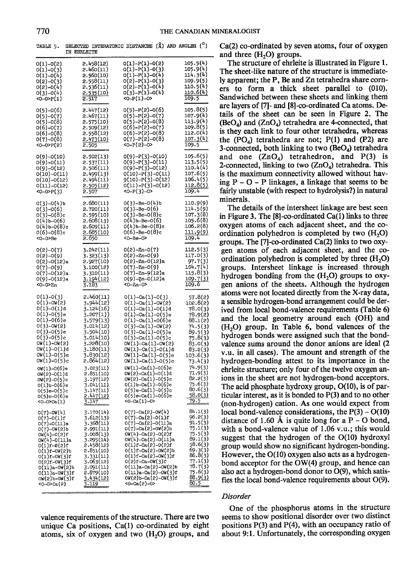| 0(1)-0(2)<br>0(1)-0(3)<br>0(1)-0(4)<br>0(2)-0(3)<br>0(2)–0(4)<br>0(3)-0(4)<br><0--0>P(1)                                                                                                                                                                                                                       | 2.458(12)<br>2.460(11)<br>2.560(10)<br>2.558(11)<br>2.536(11)<br><u>2.535(10)</u><br>2.517                                                                                                                                                     | $o(1)-P(1)-o(2)$<br>0(1)-P(1)-0(3)<br>$O(1)-P(1)-O(4)$<br>0(2)-P(1)-0(3)<br>0(2)-P(1)-0(4)<br>$O(3)-P(1)-O(4)$<br><0--P(1)-0>                                                                                                                                                                                                                                                                                                                                                         | 105.5(4)<br>105.9(4)<br>$\begin{array}{l} 114.3(4) \\ 109.9(5) \\ 100.5(4) \\ 110.6(4) \end{array}$<br>109.5                                                                                                            |
|----------------------------------------------------------------------------------------------------------------------------------------------------------------------------------------------------------------------------------------------------------------------------------------------------------------|------------------------------------------------------------------------------------------------------------------------------------------------------------------------------------------------------------------------------------------------|---------------------------------------------------------------------------------------------------------------------------------------------------------------------------------------------------------------------------------------------------------------------------------------------------------------------------------------------------------------------------------------------------------------------------------------------------------------------------------------|-------------------------------------------------------------------------------------------------------------------------------------------------------------------------------------------------------------------------|
| 0(5)–0(6)<br>0(5)-0(7)<br>0(5)–0(8)<br>0(6)-0(7)<br>0(6)–0(8)<br>0(7)-0(8)<br><0-0>P(2)                                                                                                                                                                                                                        | 2.447(12)<br>2.467(11)<br>2.575(10)<br>$2.509(12)$<br>$2.558(12)$<br>$2.473(10)$<br>$2.505$                                                                                                                                                    | 0(5)-P(2)-0(6)<br>$0(5)-P(2)-0(7)$<br>$0(5)-P(2)-0(8)$<br>$0(6)-P(2)-0(7)$<br>$0(6)-P(2)-0(8)$<br>$0(7)-P(2)-0(8)$<br>$<0-P(2)-0>$                                                                                                                                                                                                                                                                                                                                                    | 105.8(5)<br>107.9(4)<br>113.9(4)<br>109.8(5)<br>112.0(4)<br><u>107.3(4)</u><br>109.5                                                                                                                                    |
| 0(9)-0(10)<br>0(9)-0(11)<br>0(9)-0(12)<br>0(10)-0(11)<br>0(10)-0(12)<br>0(11)-0(12)<br><0-0>P(3)                                                                                                                                                                                                               | 2.502(13)<br>2.537(11)<br>2.506(11)<br>2.499(13)<br>2.494(11)<br>2.505(12)<br>2.507                                                                                                                                                            | 0(9)-P(3)-0(10)<br>0(9)-P(3)-0(11)<br>0(9)-P(3)-0(12)<br>$0(10)-P(3)-0(11)9(10)-P(3)-0(12)0(11)-P(3)-0(12)$<br>$<0-P(3)-0$                                                                                                                                                                                                                                                                                                                                                            | 105.6(5)<br>113.5(5)<br>110.4(4)<br>107.6(5)<br>106.4(5)<br><u>112.8(5)</u><br>109.4                                                                                                                                    |
| 0(3)-0(4)b<br>0(3)-0(6)<br>0(3)-0(8)c<br>$0(4)$ b-0(6)<br>0(4)b-0(8)c<br>0(6)-0(8)c<br><0-0>Be                                                                                                                                                                                                                 | 2.680(11)<br>2.720(11)<br>2.595(10)<br>2.608(13)<br>2.609(11)<br>2.685(10)<br>2.650                                                                                                                                                            | $0(3)-Be-0(4)b$<br>$0(3) - Be - 0(6)$<br>$0(3)$ -Be- $0(8)$ c<br>$0(4)$ b-Be-0(6)<br>$O(4)$ b-Be- $O(8)$ c<br>$0(6)$ -Be- $0(8)$ c<br>$<0 - Be - O$                                                                                                                                                                                                                                                                                                                                   | 110.9(9)<br>114.5(9)<br>107.3(8)<br>105.6(8)<br>106.2(8)<br><u>111.9(9)</u><br>109.4                                                                                                                                    |
| 0(2)-0(7)<br>0(2)-0(9)<br>0(2)-0(12)a<br>0(7)-0(9)<br>0(7)-0(12)a<br>0(9)-0(12)a<br><0-0>Zn                                                                                                                                                                                                                    | 3.242(11)<br>3.323(13)<br>2.927(10)<br>3.100(12)<br>3.310(11)<br>3.194(12)<br>3.183                                                                                                                                                            | $O(2) - Zn - O(7)$<br>$O(2)-Zn-O(9)$<br>$O(2)$ -Zn- $O(12)$ a<br>$O(7)-Zn-O(9)$<br>0(7)-Zn-9(12)a<br>0(9)-Zn-0(12)a<br>$<0 - Zn - 0$                                                                                                                                                                                                                                                                                                                                                  | 112.5(3)<br>117.0(3)<br>97.7(3)<br>104.7(4)<br>115.8(3)<br><u>109.7(3)</u><br>109.6                                                                                                                                     |
| $0(1)-0(3)$<br>0(1)-0W(2)<br>0(1)-0(1)d<br>$0(1)-0(5)$ e<br>$0(1)-0(6)$ e<br>$O(3)-OW(2)$<br>$0(3)-0(5)$ e<br>$0(3)-0(5)$ c<br>OW(1)-OW(2)<br>OW(1)-O(1)d<br>OW(1)-O(5)e<br>OW(1)-0(5)c<br>OW(1)-0(6)e<br>ow(2)-0(1)d<br>0W(2)-0(5)c<br>0(1)b-0(6)e<br>$0(5)$ e- $0(5)$ c<br>$0(5)e-0(6)e$<br>$<$ 0-0> $Ca(1)$ | 2.460(11)<br>3.944(12)<br>3.124(16)<br>3.207(1)<br>3.579(13)<br>3.014(12)<br>3.504(10)<br>3.014(10)<br>3.228(10)<br>3.180(11)<br>3.830(12)<br>2.864(12)<br>3.023(11)<br>2.851(10)<br>3.197(12)<br>3.041(11)<br>3.147(11)<br>2.447(12)<br>3.147 | $O(1) - Ca(1) - O(3)$<br>$O(1) - Ca(1) -OW(2)$<br>$O(1) - Ca(1) - O(1)d$<br>$0(1)$ -Ca $(1)$ -0 $(5)$ e<br>$0(1)$ -Ca $(1)$ -O $(6)$ e<br>$O(3)$ -Ca(1)-OW(2)<br>$0(3)$ -Ca $(1)$ -O(5)e<br>$O(3)$ -Ca $(1)$ -O $(5)$ c<br>$OW(1)-Ca(1)-OW(2)$<br>$OW(1)-Ca(1)-O(1)d$<br>OW(1)-Ca(1)-O(5)e<br>$OW(1)-Ca(1)-O(5)c$<br>0W(1)-Ca(1)-0(6)e<br>$OW(2) - Ca(1) - O(1)d$<br>OW(2)-Ca(1)-O(5)c<br>$0(1)b - Ca(1) - 0(6)e$<br>$0(5)$ e-Ca $(1)$ -0 $(5)$ c<br>0(5)e-Ca(1)-0(6)e<br><0-Ca(1)-0> | 57.8(2)<br>102.8(2)<br>78.0(3)<br>78.9(2)<br>88.1(2)<br>$74.5(3)$<br>89.5(3)<br>75.8(3)<br>83.0(3)<br>83.2(3)<br>$103.6(3)$<br>73.4(3)<br>74.9(3)<br>71.9(3)<br>82.2(3)<br>75.6(3)<br>80.6(3)<br><u>58.0(3)</u><br>79.5 |
| 0(7)-0W(4)<br>$0(7)-0(1)$ f<br>0(7)-0(11)a<br>$O(7) - OW(2)$ b<br>$0W(4)-0(2)$ f<br>OW(4)-O(11)a<br>0(1)f-0(2)f<br>$O(1)$ f-OW $(2)$ b<br>$O(1)$ f-OW(3)f<br>0(2)f-0W(3)f<br>0(11)a-0W(2)b<br>0(11)a-0W(2)b<br>0(11)a-0W(3)f<br>0W(2)b-0W(3)f<br>≺0–0>Ca(2)                                                    | 3.170(14)<br>3.612(13)<br>3.368(11)<br>2.991(11)<br>3.008(13)<br>3.295(14)<br>2.458(12)<br>5.851(10)<br>3.331(11)<br>3.063(12)<br>3.091(11)<br>2.879(10)<br><u>3.434(12)</u><br><u>3.119</u>                                                   | $O(7)-Ca(2)-ON(4)$<br>$0(7)-Ca(2)-0(1)f$<br>$0(7)-Ca(2)-0(11)a$<br>$O(7)$ -Ca $(2)$ -OV $(2)$ b<br>$OW(4)-Ca(2)-O(2)f$<br>OW(4)-Ca(2)-O(11)a<br>0(1)f-Ca(2)-0(2)f<br>$0(1) f - Ca(2) - 0W(2)b$<br>$0(1) f - Ca(2) - 0W(3)f$<br>$0(2) f - Ca - 0W(3)f$<br>$0(11)a - Ca(2) - 0W(2)b$<br>$O(11)a-Ca(2)-OW(3)f$<br>$OW(2)b - Ca(2) - OW(3)f$<br><0-Ca(2)-0>                                                                                                                               | 84.1(3)<br>96.2(3)<br>91.5(3)<br>75.1(3)<br>$75.1(3)$<br>$75.5(3)$<br>$89.1(3)$<br>$58.6(3)$<br>$69.3(3)$<br>$86.8(3)$<br>$77.1(3)$<br>$78.7(3)$<br>75.6(3)<br>88.9(3)<br>$\frac{80.5}{80.5}$                           |

TABLE 5. SELECTED INTERATOMIC DISTANCES  $(\hat{X})$  and angles  $(\hat{C})$ IN EITRI,EITE

valence requirements of the structure. There are two unique Ca positions, Ca(l) co-ordinated by eight atoms, six of oxygen and two  $(H<sub>2</sub>O)$  groups, and

 $Ca(2)$  co-ordinated by seven atoms, four of oxygen and three  $(H<sub>2</sub>O)$  groups.

The structure of ehrleite is illustrated in Figure 1. The sheet-like nature of the structure is immediately apparent; the P, Be and Zn tetrahedra share corners to form a thick sheet parallel to (010). Sandwiched between these sheets and linking them are layers of Fl- and [8]-co-ordinated Ca atoms. Details of the sheet can be seen in Figure 2. The  $(BeO<sub>A</sub>)$  and  $(ZnO<sub>A</sub>)$  tetrahedra are 4-connected, that is they each link to four other tetrahedra, whereas the  $(PO<sub>A</sub>)$  tetrahedra are not;  $P(1)$  and  $(P2)$  are 3-connected, both linking to two  $(BeO<sub>4</sub>)$  tetrahedra and one  $(ZnO<sub>4</sub>)$  tetrahedron, and P(3) is 2-connected, linking to two  $(ZnO_4)$  tetrahedra. This is the maximum connectivity allowed without having  $P - O - P$  linkages, a linkage that seems to be fairly unstable (with respect to hydrolysis?) in natural minerals.

The details of the intersheet linkage are best seen in Figure 3. The [8]-co-ordinated Ca(l) links to three oxygen atoms of each adjacent sheet, and the coordination polyhedron is completed by two  $(H<sub>2</sub>O)$ groups. The  $[7]$ -co-ordinated Ca(2) links to two oxygen atoms of each adjacent sheet, and the coordination polyhedron is completed by three  $(H_2O)$ groups. Intersheet linkage is increased through hydrogen bonding from the  $(H<sub>2</sub>O)$  groups to oxygen anions of the sheets. Although the hydrogen atoms were not located directly from the X-ray data, a sensible hydrogen-bond arrangement could be derived from local bond-valence requirements (Table O and the local geometry around each (OH) and  $(H<sub>2</sub>O)$  group. In Table 6, bond valences of the hydrogen bonds were assigned such that the bondvalence sums around the donor anions are ideal (2 v.u. in all cases). The amount and strength of the hydrogen-bonding attest to its importance in the ehrleite structure; only four of the twelve oxygen anions in the sheet are not hydrogen-bond acceptors. The acid phosphate hydroxy group, O(10), is of particular interest, as it is bonded to P(3) and to no other (non-hydrogen) cation. As one would expect from local bond-valence considerations, the  $P(3) - O(10)$ distance of 1.60 Å is quite long for a  $P - O$  bond, with a bond-valence value of 1.06 v.u.; this would suggest that the hydrogen of the O(10) hydroxyl group would show no significant hydrogen-bonding. However, the O(10) oxygen also acts as a hydrogenbond acceptor for the OW(4) group, and hence can also act a hydrogen-bond donor to O(9), which satisfies the local bond-valence requirements about O(9).

### Disorder

One of the phosphorus atoms in the structure seems to show positional disorder over two distinct positions P(3) and P(4), with an occupancy ratio of about 9:1. Unfortunately, the corresponding oxygen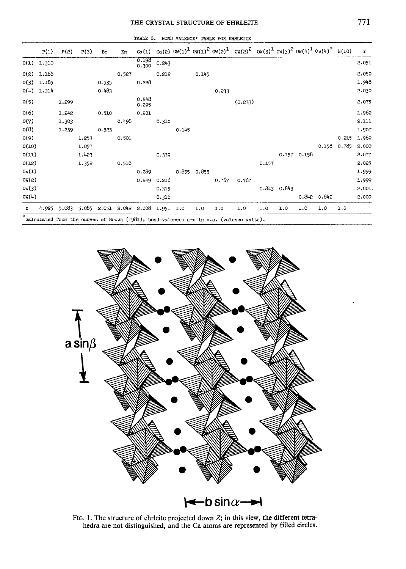# THE CRYSTAL STRUCTURE OF EHRLEITE

|       | P(1)         | P(2)  | P(3)  | Be    | Zn    | Ca(1)           |       |       |             |       | $ca(2)$ OW(1) <sup>1</sup> OW(1) <sup>2</sup> OW(2) <sup>1</sup> OW(2) <sup>2</sup> OW(3) <sup>1</sup> OW(3) <sup>2</sup> OW(4) <sup>1</sup> OW(4) <sup>2</sup> H(10) |       |       |             |       |       | Σ      |
|-------|--------------|-------|-------|-------|-------|-----------------|-------|-------|-------------|-------|-----------------------------------------------------------------------------------------------------------------------------------------------------------------------|-------|-------|-------------|-------|-------|--------|
|       | $0(1)$ 1.310 |       |       |       |       | 0.198<br>0.300  | 0.243 |       |             |       |                                                                                                                                                                       |       |       |             |       |       | 2.051  |
| O(2)  | 1.166        |       |       |       | 0.527 |                 | 0.212 |       | 0.145       |       |                                                                                                                                                                       |       |       |             |       |       | 2.050  |
| O(3)  | 1.185        |       |       | 0.535 |       | 0.228           |       |       |             |       |                                                                                                                                                                       |       |       |             |       |       | 1.948  |
| O(4)  | 1.314        |       |       | 0.483 |       |                 |       |       |             | 0.233 |                                                                                                                                                                       |       |       |             |       |       | 2.030  |
| O(5)  |              | 1.299 |       |       |       | 0.248<br>0.295  |       |       |             |       | (0.233)                                                                                                                                                               |       |       |             |       |       | 2.075  |
| O(6)  |              | 1.242 |       | 0.510 |       | 0.201           |       |       |             |       |                                                                                                                                                                       |       |       |             |       |       | 1,962  |
| O(7)  |              | 1.303 |       |       | 0.498 |                 | 0.310 |       |             |       |                                                                                                                                                                       |       |       |             |       |       | 2.111  |
| O(8)  |              | 1.239 |       | 0.523 |       |                 |       | 0.145 |             |       |                                                                                                                                                                       |       |       |             |       |       | 1.907  |
| O(9)  |              |       | 1.253 |       | 0.501 |                 |       |       |             |       |                                                                                                                                                                       |       |       |             |       | 0.215 | 1.969  |
| O(10) |              |       | 1.057 |       |       |                 |       |       |             |       |                                                                                                                                                                       |       |       |             | 0.158 | 0.785 | 2,000  |
| O(11) |              |       | 1.423 |       |       |                 | 0.339 |       |             |       |                                                                                                                                                                       |       |       | 0.157 0.158 |       |       | 2.077  |
| 0(12) |              |       | 1.352 |       | 0.516 |                 |       |       |             |       |                                                                                                                                                                       | 0.157 |       |             |       |       | 2.025  |
| OW(1) |              |       |       |       |       | 0.289           |       |       | 0.855 0.855 |       |                                                                                                                                                                       |       |       |             |       |       | 1.999  |
| OW(2) |              |       |       |       |       | 0.249           | 0.216 |       |             | 0.767 | 0.767                                                                                                                                                                 |       |       |             |       |       | 1.999  |
| OW(3) |              |       |       |       |       |                 | 0.315 |       |             |       |                                                                                                                                                                       | 0.843 | 0.843 |             |       |       | 2.001. |
| OW(4) |              |       |       |       |       |                 | 0.316 |       |             |       |                                                                                                                                                                       |       |       | 0.842       | 0.842 |       | 2,000  |
| Σ     | 4.925        | 5.083 | 5.085 | 2.051 |       | $2.042$ $2.008$ | 1.951 | 1.0   | 1.0         | 1.0   | 1.0                                                                                                                                                                   | 1.0   | 1.0   | 1.0         | 1.0   | 1.0   |        |
| ≖     |              |       |       |       |       |                 |       |       |             |       |                                                                                                                                                                       |       |       |             |       |       |        |

TABLE 6. BOND-VALENCE\* TABLE FOR EHRLEITE

calculated from the curves of Brown (1981); bond-valences are in v.u. (valence units).



FIG. 1. The structure of ehrleite projected down  $Z$ ; in this view, the different tetrahedra are not distinguished, and the Ca atoms are represented by filled circles.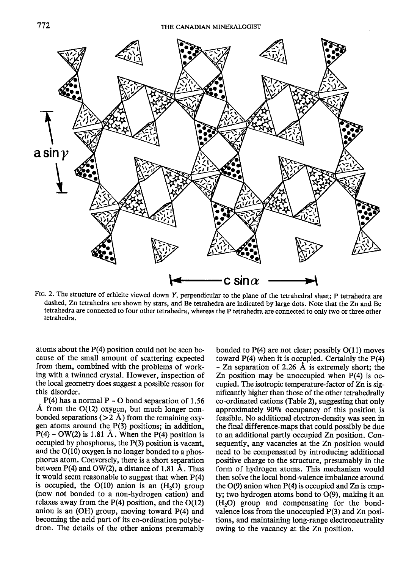

Ftc. 2. The structure of erhleite viewed down Y, perpendicular to the plane of the tetrahedral sheet: p tetrahedra are dashed, Zn tetrahedra are shown by stars, and Be tetrahedra are indicated by large dots. Note that the Zn and Be tetrahedra are connected to four other tetrahedra, whereas the P tetrahedra are connected to only two or three other tetrahedra.

atoms about the P(4) position could not be seen because of the small amount of scattering expected from them, combined with the problems of working with a twinned crystal. However, inspection of the local geometry does suggest a possible reason for this disorder.

 $P(4)$  has a normal P – O bond separation of 1.56<br>Å from the O(12) oxygen, but much longer non- $P(4)$  has a normal P – O bond separation of 1.56 bonded separations ( $>2$  Å) from the remaining oxygen atoms around the P(3) positions; in addition,  $P(4)$  – OW(2) is 1.81 Å. When the P(4) position is occupied by phosphorus, the P(3) position is vacant, and the O(10) oxygen is no longer bonded to a phosphorus atom. Conversely, there is a short separation between  $P(4)$  and  $OW(2)$ , a distance of 1.81 Å. Thus it would seem reasonable to suggest that when  $P(4)$ is occupied, the  $O(10)$  anion is an  $(H<sub>2</sub>O)$  group (now not bonded to a non-hydrogen cation) and relaxes away from the P(4) position, and the O(12) anion is an  $(OH)$  group, moving toward  $P(4)$  and becoming the acid part of its co-ordination polyhedron. The details of the other anions presumably

bonded to  $P(4)$  are not clear; possibly  $O(11)$  moves toward  $P(4)$  when it is occupied. Certainly the  $P(4)$ - Zn separation of 2.26 A is extremely short; the Zn position may be unoccupied when P(4) is occupied. The isotropic temperature-factor of Zn is significantly higher than those of the other tetrahedrally co-ordinated cations (Table 2), suggesting that only approximately 9090 occupancy of this position is feasible. No additional electron-density was seen in the final difference-maps that could possibly be due to an additional partly occupied Zn position. Consequently, any vacancies at the Zn position would need to be compensated by introducing additional positive charge to the structure, presumably in the form of hydrogen atoms. This mechanism would then solve the local bond-valence imbalance around the  $O(9)$  anion when  $P(4)$  is occupied and  $Zn$  is empty; two hydrogen atoms bond to O(9), making it an  $(H<sub>2</sub>O)$  group and compensating for the bondvalence loss from the unoccupied P(3) and Zn positions, and maintaining long-range electroneutrality owing to the vacancy at the Zn position.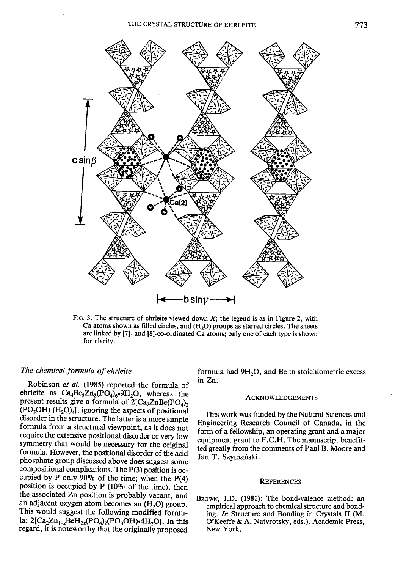

FIG. 3. The structure of ehrleite viewed down  $X_i$ ; the legend is as in Figure 2, with Ca atoms shown as filled circles, and  $(H<sub>2</sub>O)$  groups as starred circles. The sheets are linked by [7]- and [8]-co-ordinated Ca atoms; only one of each type is shown for clarity.

# The chemical formula of ehrleite

Robinson et al. (1985) reported the formula of ehrleite as  $Ca_4Be_3Zn_2(PO_4)_6.9H_2O$ , whereas the present results give a formula of  $2[Ca<sub>2</sub>ZnBe(PO<sub>4</sub>)<sub>2</sub>$  $(PO<sub>3</sub>OH)$   $(H<sub>2</sub>O)<sub>4</sub>$ , ignoring the aspects of positional disorder in the structure. The latter is a more simple formula from a structural viewpoint, as it does not require the extensive positional disorder or very low symmetry that would be necessary for the original formula. However, the positional disorder of the acid phosphate group discussed above does suggest some compositional complications. The P(3) position is occupied by P only 90% of the time; when the  $P(4)$ position is occupied by  $P(10\% \text{ of the time})$ , then the associated Zn position is probably vacant, and an adjacent oxygen atom becomes an  $(H<sub>2</sub>O)$  group. This would suggest the following modified formula:  $2[Ca_2Zn_{1-x}BeH_{2x}(PO_4)_2(PO_3OH)$ -4H<sub>2</sub>O]. In this regard, it is noteworthy that the originally proposed

formula had 9H<sub>2</sub>O, and Be in stoichiometric excess in Zn.

#### ACKNOWLEDGEMENTS

This work was funded by the Natural Sciences and Engineering Research Council of Canada, in the form of a fellowship, an operating grant and a major equipment grant to F.C.H. The manuscript benefitted greatly from the comments of Paul B. Moore and Jan T. Szymański.

#### **REFERENCES**

BROWN, I.D. (1981): The bond-valence method: an empirical approach to chemical structure and bonding. In Structure and Bonding in Crystals II (M. O'Keeffe & A. Natvrotsky, eds.). Academic Press, New York,